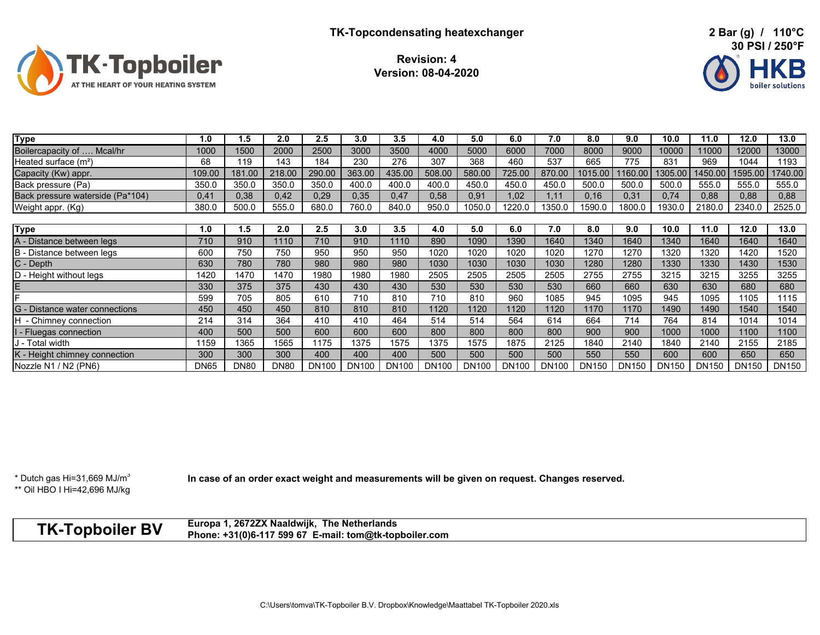

**Revision: 4Version: 08-04-2020**



| <b>Type</b>                      | 1.0         | 1.5         | 2.0         | 2.5          | 3.0          | 3.5          | 4.0          | 5.0          | 6.0          | 7.0          | 8.0     | 9.0          | 10.0         | 11.0    | 12.0         | 13.0    |
|----------------------------------|-------------|-------------|-------------|--------------|--------------|--------------|--------------|--------------|--------------|--------------|---------|--------------|--------------|---------|--------------|---------|
| Boilercapacity of  Mcal/hr       | 1000        | 1500        | 2000        | 2500         | 3000         | 3500         | 4000         | 5000         | 6000         | 7000         | 8000    | 9000         | 10000        | 11000   | 12000        | 13000   |
| Heated surface $(m2)$            | 68          | 119         | 143         | 184          | 230          | 276          | 307          | 368          | 460          | 537          | 665     | 775          | 831          | 969     | 1044         | 1193    |
| Capacity (Kw) appr.              | 109.00      | 181.00      | 218.00      | 290.00       | 363.00       | 435.00       | 508.00       | 580.00       | 725.00       | 870.00       | 1015.00 | 160.00       | 1305.00      | 1450.00 | 1595.00      | 1740.00 |
| Back pressure (Pa)               | 350.0       | 350.0       | 350.0       | 350.0        | 400.0        | 400.0        | 400.0        | 450.0        | 450.0        | 450.0        | 500.0   | 500.0        | 500.0        | 555.0   | 555.0        | 555.0   |
| Back pressure waterside (Pa*104) | 0,41        | 0,38        | 0,42        | 0,29         | 0,35         | 0,47         | 0,58         | 0,91         | 1,02         | .11          | 0,16    | 0,31         | 0,74         | 0,88    | 0,88         | 0,88    |
| Weight appr. (Kg)                | 380.0       | 500.0       | 555.0       | 680.0        | 760.0        | 840.0        | 950.0        | 1050.0       | 1220.0       | 1350.0       | 1590.0  | 1800.0       | 1930.0       | 2180.0  | 2340.0       | 2525.0  |
|                                  |             |             |             |              |              |              |              |              |              |              |         |              |              |         |              |         |
| <b>Type</b>                      | 1.0         | 1.5         | 2.0         | 2.5          | 3.0          | 3.5          | 4.0          | 5.0          | 6.0          | 7.0          | 8.0     | 9.0          | 10.0         | 11.0    | 12.0         | 13.0    |
| A - Distance between legs        | 710         | 910         | 1110        | 710          | 910          | 1110         | 890          | 1090         | 1390         | 1640         | 1340    | 1640         | 1340         | 1640    | 1640         | 1640    |
| B - Distance between legs        | 600         | 750         | 750         | 950          | 950          | 950          | 1020         | 1020         | 1020         | 1020         | 1270    | 1270         | 1320         | 1320    | 1420         | 1520    |
| C - Depth                        | 630         | 780         | 780         | 980          | 980          | 980          | 1030         | 1030         | 1030         | 1030         | 1280    | 1280         | 1330         | 1330    | 1430         | 1530    |
| D - Height without legs          | 1420        | 1470        | 1470        | 1980         | 1980         | 1980         | 2505         | 2505         | 2505         | 2505         | 2755    | 2755         | 3215         | 3215    | 3255         | 3255    |
| E                                | 330         | 375         | 375         | 430          | 430          | 430          | 530          | 530          | 530          | 530          | 660     | 660          | 630          | 630     | 680          | 680     |
|                                  | 599         | 705         | 805         | 610          | 710          | 810          | 710          | 810          | 960          | 1085         | 945     | 1095         | 945          | 1095    | 1105         | 1115    |
| G - Distance water connections   | 450         | 450         | 450         | 810          | 810          | 810          | 1120         | 1120         | 1120         | 1120         | 1170    | 1170         | 1490         | 1490    | 1540         | 1540    |
| - Chimney connection             | 214         | 314         | 364         | 410          | 410          | 464          | 514          | 514          | 564          | 614          | 664     | 714          | 764          | 814     | 1014         | 1014    |
| - Fluegas connection             | 400         | 500         | 500         | 600          | 600          | 600          | 800          | 800          | 800          | 800          | 900     | 900          | 1000         | 1000    | 1100         | 1100    |
| J - Total width                  | 159         | 1365        | 1565        | 1175         | 1375         | 1575         | 1375         | 1575         | 1875         | 2125         | 1840    | 2140         | 1840         | 2140    | 2155         | 2185    |
| K - Height chimney connection    | 300         | 300         | 300         | 400          | 400          | 400          | 500          | 500          | 500          | 500          | 550     | 550          | 600          | 600     | 650          | 650     |
| Nozzle N1 / N2 (PN6)             | <b>DN65</b> | <b>DN80</b> | <b>DN80</b> | <b>DN100</b> | <b>DN100</b> | <b>DN100</b> | <b>DN100</b> | <b>DN100</b> | <b>DN100</b> | <b>DN100</b> | DN150   | <b>DN150</b> | <b>DN150</b> | DN150   | <b>DN150</b> | DN150   |

\* Dutch gas Hi=31,669 MJ/ $m<sup>3</sup>$ \*\* Oil HBO I Hi=42,696 MJ/kg In case of an order exact weight and measurements will be given on request. Changes reserved.

**Europa 1, 2672ZX Naaldwijk, The Netherlands TK-Topboiler BV Phone: +31(0)6-117 599 67 E-mail: tom@tk-topboiler.com**